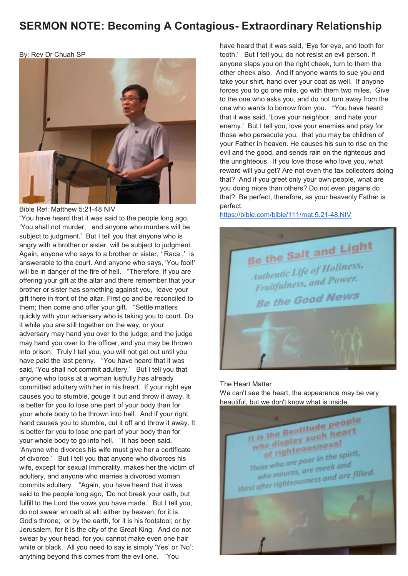## **SERMON NOTE: Becoming A Contagious- Extraordinary Relationship**

#### By: Rev Dr Chuah SP



Bible Ref: Matthew 5:21-48 NIV

"You have heard that it was said to the people long ago, 'You shall not murder, and anyone who murders will be subject to judgment.' But I tell you that anyone who is angry with a brother or sister will be subject to judgment. Again, anyone who says to a brother or sister, ' Raca ,' is answerable to the court. And anyone who says, 'You fool!' will be in danger of the fire of hell. "Therefore, if you are offering your gift at the altar and there remember that your brother or sister has something against you, leave your gift there in front of the altar. First go and be reconciled to them; then come and offer your gift. "Settle matters quickly with your adversary who is taking you to court. Do it while you are still together on the way, or your adversary may hand you over to the judge, and the judge may hand you over to the officer, and you may be thrown into prison. Truly I tell you, you will not get out until you have paid the last penny. "You have heard that it was said, 'You shall not commit adultery.' But I tell you that anyone who looks at a woman lustfully has already committed adultery with her in his heart. If your right eye causes you to stumble, gouge it out and throw it away. It is better for you to lose one part of your body than for your whole body to be thrown into hell. And if your right hand causes you to stumble, cut it off and throw it away. It is better for you to lose one part of your body than for your whole body to go into hell. "It has been said, 'Anyone who divorces his wife must give her a certificate of divorce.' But I tell you that anyone who divorces his wife, except for sexual immorality, makes her the victim of adultery, and anyone who marries a divorced woman commits adultery. "Again, you have heard that it was said to the people long ago, 'Do not break your oath, but fulfill to the Lord the vows you have made.' But I tell you, do not swear an oath at all: either by heaven, for it is God's throne; or by the earth, for it is his footstool; or by Jerusalem, for it is the city of the Great King. And do not swear by your head, for you cannot make even one hair white or black. All you need to say is simply 'Yes' or 'No'; anything beyond this comes from the evil one. "You

have heard that it was said, 'Eye for eye, and tooth for tooth.' But I tell you, do not resist an evil person. If anyone slaps you on the right cheek, turn to them the other cheek also. And if anyone wants to sue you and take your shirt, hand over your coat as well. If anyone forces you to go one mile, go with them two miles. Give to the one who asks you, and do not turn away from the one who wants to borrow from you. "You have heard that it was said, 'Love your neighbor and hate your enemy.' But I tell you, love your enemies and pray for those who persecute you, that you may be children of your Father in heaven. He causes his sun to rise on the evil and the good, and sends rain on the righteous and the unrighteous. If you love those who love you, what reward will you get? Are not even the tax collectors doing that? And if you greet only your own people, what are you doing more than others? Do not even pagans do that? Be perfect, therefore, as your heavenly Father is perfect.

<https://bible.com/bible/111/mat.5.21-48.NIV>



The Heart Matter We can't see the heart, the appearance may be very beautiful, but we don't know what is inside.

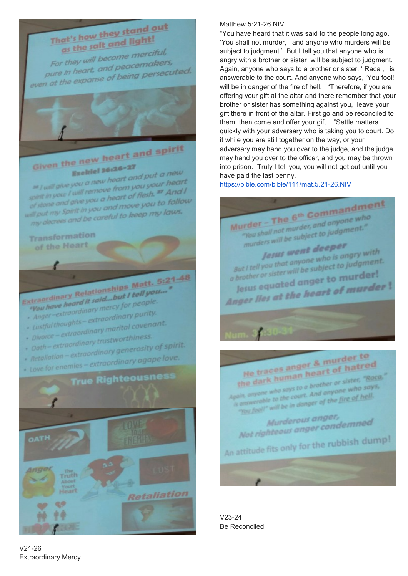# That's how they stand out as the salt and light!

For they will become merciful, pure in heart, and peacemakers, even at the expanse of being persecuted.

Given the new heart and spirit Exclided 36:26-27

as I will give you a new heart and put a new spirit in you; I will remove from you your heart of stone and give you a heart of flesh. <sup>27</sup> And I will put my Spirit in you and move you to follow my decrees and be careful to keep my laws.

## Transformation of the Heart

**Extraordinary Relationships Matt. 5:21-48** "You have heard it said...but I tell you..." - Anger-extraordinary mercy for people.

- 
- Lustful thoughts-extraordinary purity. · Divorce - extraordinary marital covenant.
- 
- · Oath extraordinary trustworthiness. - Retaliation - extraordinary generosity of spirit.
- 
- · Love for enemies extraordinary agape love.



### Matthew 5:21-26 NIV

"You have heard that it was said to the people long ago, 'You shall not murder, and anyone who murders will be subject to judgment.' But I tell you that anyone who is angry with a brother or sister will be subject to judgment. Again, anyone who says to a brother or sister, 'Raca,' is answerable to the court. And anyone who says, 'You fool!' will be in danger of the fire of hell. "Therefore, if you are offering your gift at the altar and there remember that your brother or sister has something against you, leave your gift there in front of the altar. First go and be reconciled to them; then come and offer your gift. "Settle matters quickly with your adversary who is taking you to court. Do it while you are still together on the way, or your adversary may hand you over to the judge, and the judge may hand you over to the officer, and you may be thrown into prison. Truly I tell you, you will not get out until you have paid the last penny.

https://bible.com/bible/111/mat.5.21-26.NIV

Murder - The 6<sup>th</sup> Commandment "You shall not murder, and anyone who murders will be subject to judgment."

Jesus went deeper But I tell you that anyone who is angry with a brother or sister will be subject to judgment. lesus equated anger to murder! Anger lies at the heart of murder!

He traces anger & murder to the dark human heart of hatred Again, anyone who says to a brother or sister, "Racq," is assurerable to the court. And anyone who says, "You fool!" will be in danger of the fire of hell.

Murderous anger, Not righteous anger condemned

An attitude fits only for the rubbish dump!

 $V23-24$ **Be Reconciled**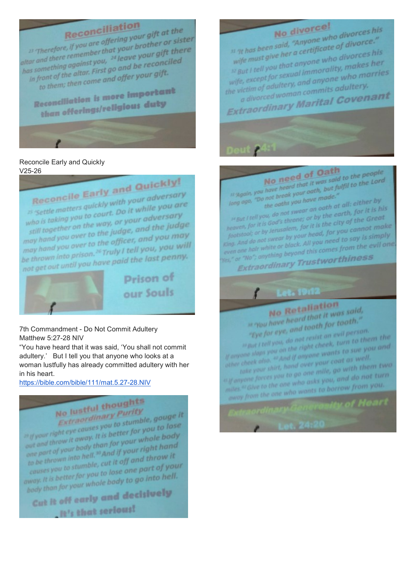Reconciliation <sup>23</sup> Therefore, if you are offering your gift at the altar and there remember that your brother or sister has something against you, <sup>24</sup> leave your gift there in front of the altar. First go and be reconciled to them; then come and offer your gift.

**Reconciliation is more important** than offerings/religious duty

### Reconcile Early and Quickly  $V25-26$



**Reconcile Early and Quickly!** <sup>25</sup> Settle matters quickly with your adversary who is taking you to court. Do it while you are still together on the way, or your adversary may hand you over to the judge, and the judge may hand you over to the officer, and you may be thrown into prison.<sup>26</sup> Truly I tell you, you will not get out until you have paid the last penny.



Prison of our Souls

### 7th Commandment - Do Not Commit Adultery Matthew 5:27-28 NIV

"You have heard that it was said, 'You shall not commit adultery.' But I tell you that anyone who looks at a woman lustfully has already committed adultery with her in his heart.

https://bible.com/bible/111/mat.5.27-28.NIV

No lustful thoughts **Extraordinary Purity** Pif your right eye causes you to stumble, gouge It out and throw it away. It is better for you to lose one part of your body than for your whole body to be thrown into hell.<sup>30</sup> And if your right hand causes you to stumble, cut it off and throw it away. It is better for you to lose one part of your body than for your whole body to go into hell.

Cut it off early and decisively It's that serious!

# No divorce!

si qt has been said, "Anyone who divorces his wife must give her a certificate of divorce." <sup>12</sup> But I tell you that anyone who divorces his wife, except for sexual immorality, makes her the victim of adultery, and anyone who marries a divorced woman commits adultery. **Extraordinary Marital Covenant** 





Is Again, you have heard that it was said to the people long ago, "Do not break your oath, but fulfil to the Lord

the oaths you have made." <sup>34</sup> But I tell you, do not swear an oath at all: either by

heaven, for it is God's throne; or by the earth, for it is his footstool; or by Jerusalem, for it is the city of the Great King. And do not swear by your head, for you cannot make even one hair white or black. All you need to say is simply Yes," or "No"; anything beyond this comes from the evil one **Extraordinary Trustworthiness** 

**No Retaliation** <sup>38</sup> 'You have heard that it was said, "Eye for eye, and tooth for tooth."

<sup>20</sup> But I tell you, do not resist an evil person. If anyone slaps you on the right cheek, turn to them the other cheek also. <sup>40</sup> And if anyone wants to sue you and take your shirt, hand over your coat as well. suf anyone forces you to go one mile, go with them two miles.<sup>42</sup> Give to the one who asks you, and do not turn away from the one who wants to borrow from you.